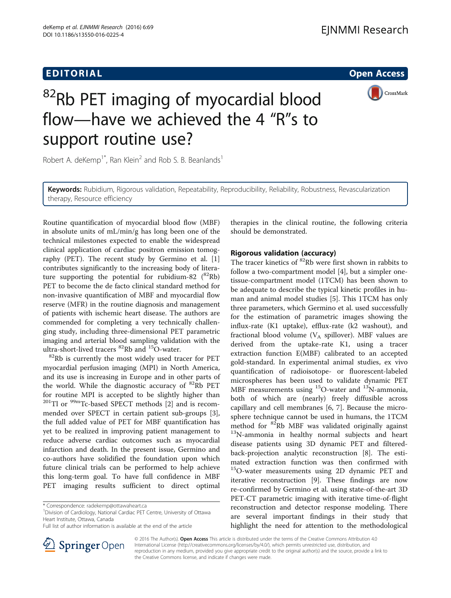



# <sup>82</sup>Rb PET imaging of myocardial blood flow—have we achieved the 4 "R"s to support routine use?

Robert A. deKemp<sup>1\*</sup>, Ran Klein<sup>2</sup> and Rob S. B. Beanlands<sup>1</sup>

Keywords: Rubidium, Rigorous validation, Repeatability, Reproducibility, Reliability, Robustness, Revascularization therapy, Resource efficiency

Routine quantification of myocardial blood flow (MBF) in absolute units of mL/min/g has long been one of the technical milestones expected to enable the widespread clinical application of cardiac positron emission tomography (PET). The recent study by Germino et al. [\[1](#page-3-0)] contributes significantly to the increasing body of literature supporting the potential for rubidium-82  $(^{82}Rb)$ PET to become the de facto clinical standard method for non-invasive quantification of MBF and myocardial flow reserve (MFR) in the routine diagnosis and management of patients with ischemic heart disease. The authors are commended for completing a very technically challenging study, including three-dimensional PET parametric imaging and arterial blood sampling validation with the ultra-short-lived tracers  ${}^{82}$ Rb and  ${}^{15}$ O-water.

 ${}^{82}$ Rb is currently the most widely used tracer for PET myocardial perfusion imaging (MPI) in North America, and its use is increasing in Europe and in other parts of the world. While the diagnostic accuracy of  ${}^{82}$ Rb PET for routine MPI is accepted to be slightly higher than  $^{201}$ Tl or  $^{99m}$ Tc-based SPECT methods [\[2\]](#page-3-0) and is recommended over SPECT in certain patient sub-groups [\[3](#page-3-0)], the full added value of PET for MBF quantification has yet to be realized in improving patient management to reduce adverse cardiac outcomes such as myocardial infarction and death. In the present issue, Germino and co-authors have solidified the foundation upon which future clinical trials can be performed to help achieve this long-term goal. To have full confidence in MBF PET imaging results sufficient to direct optimal

<sup>1</sup> Division of Cardiology, National Cardiac PET Centre, University of Ottawa Heart Institute, Ottawa, Canada

therapies in the clinical routine, the following criteria should be demonstrated.

### Rigorous validation (accuracy)

The tracer kinetics of <sup>82</sup>Rb were first shown in rabbits to follow a two-compartment model [\[4](#page-3-0)], but a simpler onetissue-compartment model (1TCM) has been shown to be adequate to describe the typical kinetic profiles in human and animal model studies [[5\]](#page-3-0). This 1TCM has only three parameters, which Germino et al. used successfully for the estimation of parametric images showing the influx-rate (K1 uptake), efflux-rate (k2 washout), and fractional blood volume ( $V_A$  spillover). MBF values are derived from the uptake-rate K1, using a tracer extraction function E(MBF) calibrated to an accepted gold-standard. In experimental animal studies, ex vivo quantification of radioisotope- or fluorescent-labeled microspheres has been used to validate dynamic PET MBF measurements using  $^{15}O$ -water and  $^{13}N$ -ammonia, both of which are (nearly) freely diffusible across capillary and cell membranes [\[6](#page-3-0), [7](#page-3-0)]. Because the microsphere technique cannot be used in humans, the 1TCM method for <sup>82</sup>Rb MBF was validated originally against <sup>13</sup>N-ammonia in healthy normal subjects and heart disease patients using 3D dynamic PET and filteredback-projection analytic reconstruction [[8\]](#page-3-0). The estimated extraction function was then confirmed with <sup>15</sup>O-water measurements using 2D dynamic PET and iterative reconstruction [\[9](#page-3-0)]. These findings are now re-confirmed by Germino et al. using state-of-the-art 3D PET-CT parametric imaging with iterative time-of-flight reconstruction and detector response modeling. There are several important findings in their study that highlight the need for attention to the methodological



© 2016 The Author(s). Open Access This article is distributed under the terms of the Creative Commons Attribution 4.0 International License ([http://creativecommons.org/licenses/by/4.0/\)](http://creativecommons.org/licenses/by/4.0/), which permits unrestricted use, distribution, and reproduction in any medium, provided you give appropriate credit to the original author(s) and the source, provide a link to the Creative Commons license, and indicate if changes were made.

<sup>\*</sup> Correspondence: [radekemp@ottawaheart.ca](mailto:radekemp@ottawaheart.ca) <sup>1</sup>

Full list of author information is available at the end of the article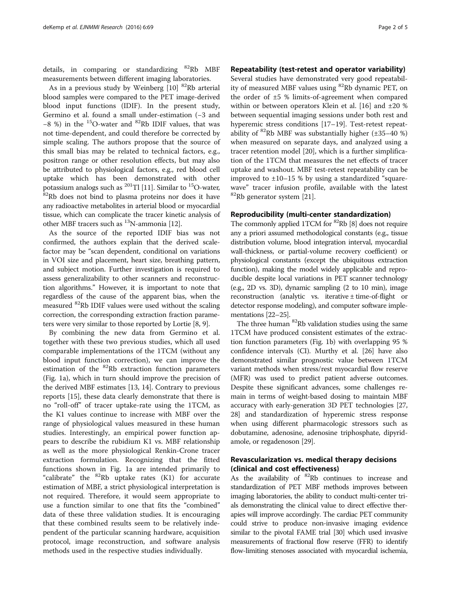details, in comparing or standardizing  $82Rb$  MBF measurements between different imaging laboratories.

As in a previous study by Weinberg  $[10]$  $[10]$  <sup>82</sup>Rb arterial blood samples were compared to the PET image-derived blood input functions (IDIF). In the present study, Germino et al. found a small under-estimation (−3 and −8 %) in the 15O-water and 82Rb IDIF values, that was not time-dependent, and could therefore be corrected by simple scaling. The authors propose that the source of this small bias may be related to technical factors, e.g., positron range or other resolution effects, but may also be attributed to physiological factors, e.g., red blood cell uptake which has been demonstrated with other potassium analogs such as  $^{201}$ Tl [11]. Similar to  $^{15}$ O-water,  $82Rb$  does not bind to plasma proteins nor does it have any radioactive metabolites in arterial blood or myocardial tissue, which can complicate the tracer kinetic analysis of other MBF tracers such as  $^{13}$ N-ammonia [[12](#page-3-0)].

As the source of the reported IDIF bias was not confirmed, the authors explain that the derived scalefactor may be "scan dependent, conditional on variations in VOI size and placement, heart size, breathing pattern, and subject motion. Further investigation is required to assess generalizability to other scanners and reconstruction algorithms." However, it is important to note that regardless of the cause of the apparent bias, when the measured 82Rb IDIF values were used without the scaling correction, the corresponding extraction fraction parameters were very similar to those reported by Lortie [[8, 9](#page-3-0)].

By combining the new data from Germino et al. together with these two previous studies, which all used comparable implementations of the 1TCM (without any blood input function correction), we can improve the estimation of the  ${}^{82}$ Rb extraction function parameters (Fig. [1a](#page-2-0)), which in turn should improve the precision of the derived MBF estimates [\[13](#page-3-0), [14\]](#page-3-0). Contrary to previous reports [\[15](#page-3-0)], these data clearly demonstrate that there is no "roll-off" of tracer uptake-rate using the 1TCM, as the K1 values continue to increase with MBF over the range of physiological values measured in these human studies. Interestingly, an empirical power function appears to describe the rubidium K1 vs. MBF relationship as well as the more physiological Renkin-Crone tracer extraction formulation. Recognizing that the fitted functions shown in Fig. [1](#page-2-0)a are intended primarily to "calibrate" the  ${}^{82}$ Rb uptake rates (K1) for accurate estimation of MBF, a strict physiological interpretation is not required. Therefore, it would seem appropriate to use a function similar to one that fits the "combined" data of these three validation studies. It is encouraging that these combined results seem to be relatively independent of the particular scanning hardware, acquisition protocol, image reconstruction, and software analysis methods used in the respective studies individually.

## Repeatability (test-retest and operator variability)

Several studies have demonstrated very good repeatability of measured MBF values using 82Rb dynamic PET, on the order of ±5 % limits-of-agreement when compared within or between operators Klein et al. [[16](#page-3-0)] and ±20 % between sequential imaging sessions under both rest and hyperemic stress conditions [\[17](#page-3-0)–[19\]](#page-3-0). Test-retest repeatability of  ${}^{82}$ Rb MBF was substantially higher ( $\pm$ 35–40 %) when measured on separate days, and analyzed using a tracer retention model [[20\]](#page-3-0), which is a further simplification of the 1TCM that measures the net effects of tracer uptake and washout. MBF test-retest repeatability can be improved to  $\pm 10$ –15 % by using a standardized "squarewave" tracer infusion profile, available with the latest  ${}^{82}$ Rb generator system [[21\]](#page-3-0).

#### Reproducibility (multi-center standardization)

The commonly applied 1TCM for  ${}^{82}$ Rb [\[8\]](#page-3-0) does not require any a priori assumed methodological constants (e.g., tissue distribution volume, blood integration interval, myocardial wall-thickness, or partial-volume recovery coefficient) or physiological constants (except the ubiquitous extraction function), making the model widely applicable and reproducible despite local variations in PET scanner technology (e.g., 2D vs. 3D), dynamic sampling (2 to 10 min), image reconstruction (analytic vs. iterative ± time-of-flight or detector response modeling), and computer software implementations [\[22](#page-3-0)–[25\]](#page-3-0).

The three human <sup>82</sup>Rb validation studies using the same 1TCM have produced consistent estimates of the extraction function parameters (Fig. [1](#page-2-0)b) with overlapping 95 % confidence intervals (CI). Murthy et al. [\[26](#page-3-0)] have also demonstrated similar prognostic value between 1TCM variant methods when stress/rest myocardial flow reserve (MFR) was used to predict patient adverse outcomes. Despite these significant advances, some challenges remain in terms of weight-based dosing to maintain MBF accuracy with early-generation 3D PET technologies [[27](#page-3-0), [28](#page-3-0)] and standardization of hyperemic stress response when using different pharmacologic stressors such as dobutamine, adenosine, adenosine triphosphate, dipyridamole, or regadenoson [\[29\]](#page-3-0).

# Revascularization vs. medical therapy decisions (clinical and cost effectiveness)

As the availability of  ${}^{82}$ Rb continues to increase and standardization of PET MBF methods improves between imaging laboratories, the ability to conduct multi-center trials demonstrating the clinical value to direct effective therapies will improve accordingly. The cardiac PET community could strive to produce non-invasive imaging evidence similar to the pivotal FAME trial [\[30\]](#page-3-0) which used invasive measurements of fractional flow reserve (FFR) to identify flow-limiting stenoses associated with myocardial ischemia,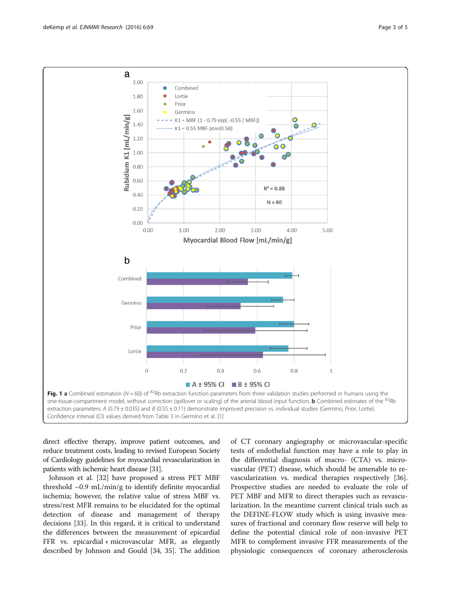<span id="page-2-0"></span>

direct effective therapy, improve patient outcomes, and reduce treatment costs, leading to revised European Society of Cardiology guidelines for myocardial revascularization in patients with ischemic heart disease [\[31\]](#page-3-0).

Johnson et al. [[32\]](#page-4-0) have proposed a stress PET MBF threshold  $\sim 0.9$  mL/min/g to identify definite myocardial ischemia; however, the relative value of stress MBF vs. stress/rest MFR remains to be elucidated for the optimal detection of disease and management of therapy decisions [[33\]](#page-4-0). In this regard, it is critical to understand the differences between the measurement of epicardial FFR vs. epicardial + microvascular MFR, as elegantly described by Johnson and Gould [[34, 35\]](#page-4-0). The addition

of CT coronary angiography or microvascular-specific tests of endothelial function may have a role to play in the differential diagnosis of macro- (CTA) vs. microvascular (PET) disease, which should be amenable to revascularization vs. medical therapies respectively [\[36](#page-4-0)]. Prospective studies are needed to evaluate the role of PET MBF and MFR to direct therapies such as revascularization. In the meantime current clinical trials such as the DEFINE-FLOW study which is using invasive measures of fractional and coronary flow reserve will help to define the potential clinical role of non-invasive PET MFR to complement invasive FFR measurements of the physiologic consequences of coronary atherosclerosis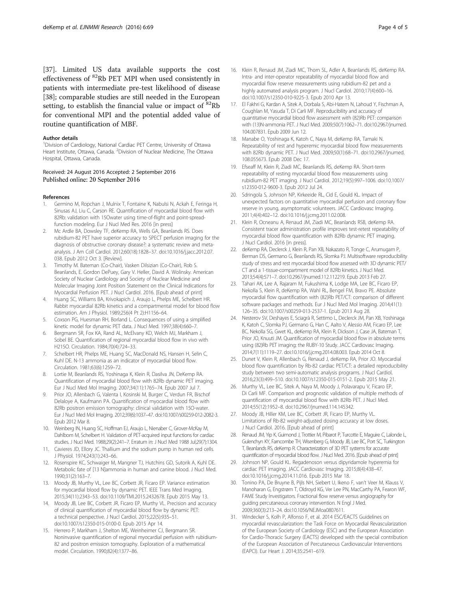<span id="page-3-0"></span>[[37\]](#page-4-0). Limited US data available supports the cost effectiveness of 82Rb PET MPI when used consistently in patients with intermediate pre-test likelihood of disease [[38\]](#page-4-0); comparable studies are still needed in the European setting, to establish the financial value or impact of  ${}^{82}$ Rb for conventional MPI and the potential added value of routine quantification of MBF.

#### Author details

<sup>1</sup> Division of Cardiology, National Cardiac PET Centre, University of Ottawa Heart Institute, Ottawa, Canada. <sup>2</sup>Division of Nuclear Medicine, The Ottawa Hospital, Ottawa, Canada.

#### Received: 24 August 2016 Accepted: 2 September 2016 Published online: 20 September 2016

#### References

- 1. Germino M, Ropchan J, Mulnix T, Fontaine K, Nabulsi N, Ackah E, Feringa H, Sinusas AJ, Liu C, Carson RE. Quantification of myocardial blood flow with 82Rb: validation with 15Owater using time-of-flight and point-spreadfunction modeling. Eur J Nucl Med Res. 2016 [in press]
- 2. Mc Ardle BA, Dowsley TF, deKemp RA, Wells GA, Beanlands RS. Does rubidium-82 PET have superior accuracy to SPECT perfusion imaging for the diagnosis of obstructive coronary disease?: a systematic review and metaanalysis. J Am Coll Cardiol. 2012;60(18):1828–37. doi[:10.1016/j.jacc.2012.07.](http://dx.doi.org/10.1016/j.jacc.2012.07.038) [038.](http://dx.doi.org/10.1016/j.jacc.2012.07.038) Epub 2012 Oct 3. [Review].
- 3. Timothy M. Bateman (Co-Chair), Vasken Dilsizian (Co-Chair), Rob S. Beanlands, E. Gordon DePuey, Gary V. Heller, David A. Wolinsky. American Society of Nuclear Cardiology and Society of Nuclear Medicine and Molecular Imaging Joint Position Statement on the Clinical Indications for Myocardial Perfusion PET. J Nucl Cardiol. 2016. [Epub ahead of print]
- 4. Huang SC, Williams BA, Krivokapich J, Araujo L, Phelps ME, Schelbert HR. Rabbit myocardial 82Rb kinetics and a compartmental model for blood flow estimation. Am J Physiol. 1989;256(4 Pt 2):H1156-64.
- 5. Coxson PG, Huesman RH, Borland L. Consequences of using a simplified kinetic model for dynamic PET data. J Nucl Med. 1997;38(4):660–7.
- 6. Bergmann SR, Fox KA, Rand AL, McElvany KD, Welch MJ, Markham J, Sobel BE. Quantification of regional myocardial blood flow in vivo with H215O. Circulation. 1984;70(4):724–33.
- 7. Schelbert HR, Phelps ME, Huang SC, MacDonald NS, Hansen H, Selin C, Kuhl DE. N-13 ammonia as an indicator of myocardial blood flow. Circulation. 1981;63(6):1259–72.
- Lortie M, Beanlands RS, Yoshinaga K, Klein R, Dasilva JN, DeKemp RA. Quantification of myocardial blood flow with 82Rb dynamic PET imaging. Eur J Nucl Med Mol Imaging. 2007;34(11):1765–74. Epub 2007 Jul 7.
- Prior JO, Allenbach G, Valenta I, Kosinski M, Burger C, Verdun FR, Bischof Delaloye A, Kaufmann PA. Quantification of myocardial blood flow with 82Rb positron emission tomography: clinical validation with 15O-water. Eur J Nucl Med Mol Imaging. 2012;39(6):1037–47. doi:[10.1007/s00259-012-2082-3](http://dx.doi.org/10.1007/s00259-012-2082-3). Epub 2012 Mar 8.
- 10. Weinberg IN, Huang SC, Hoffman EJ, Araujo L, Nienaber C, Grover-McKay M, Dahlbom M, Schelbert H. Validation of PET-acquired input functions for cardiac studies. J Nucl Med. 1988;29(2):241–7. Erratum in: J Nucl Med 1988 Jul;29(7):1304.
- 11. Cavieres JD, Ellory JC. Thallium and the sodium pump in human red cells. J Physiol. 1974;243(1):243–66.
- 12. Rosenspire KC, Schwaiger M, Mangner TJ, Hutchins GD, Sutorik A, Kuhl DE. Metabolic fate of [13 N]ammonia in human and canine blood. J Nucl Med. 1990;31(2):163–7.
- 13. Moody JB, Murthy VL, Lee BC, Corbett JR, Ficaro EP. Variance estimation for myocardial blood flow by dynamic PET. IEEE Trans Med Imaging. 2015;34(11):2343–53. doi:[10.1109/TMI.2015.2432678.](http://dx.doi.org/10.1109/TMI.2015.2432678) Epub 2015 May 13.
- 14. Moody JB, Lee BC, Corbett JR, Ficaro EP, Murthy VL. Precision and accuracy of clinical quantification of myocardial blood flow by dynamic PET: a technical perspective. J Nucl Cardiol. 2015;22(5):935–51. doi[:10.1007/s12350-015-0100-0](http://dx.doi.org/10.1007/s12350-015-0100-0). Epub 2015 Apr 14.
- 15. Herrero P, Markham J, Shelton ME, Weinheimer CJ, Bergmann SR. Noninvasive quantification of regional myocardial perfusion with rubidium-82 and positron emission tomography. Exploration of a mathematical model. Circulation. 1990;82(4):1377–86.
- 16. Klein R, Renaud JM, Ziadi MC, Thorn SL, Adler A, Beanlands RS, deKemp RA. Intra- and inter-operator repeatability of myocardial blood flow and myocardial flow reserve measurements using rubidium-82 pet and a highly automated analysis program. J Nucl Cardiol. 2010;17(4):600–16. doi[:10.1007/s12350-010-9225-3](http://dx.doi.org/10.1007/s12350-010-9225-3). Epub 2010 Apr 13.
- 17. El Fakhri G, Kardan A, Sitek A, Dorbala S, Abi-Hatem N, Lahoud Y, Fischman A, Coughlan M, Yasuda T, Di Carli MF. Reproducibility and accuracy of quantitative myocardial blood flow assessment with (82)Rb PET: comparison with (13)N-ammonia PET. J Nucl Med. 2009;50(7):1062–71. doi[:10.2967/jnumed.](http://dx.doi.org/10.2967/jnumed.104.007831) [104.007831.](http://dx.doi.org/10.2967/jnumed.104.007831) Epub 2009 Jun 12.
- 18. Manabe O, Yoshinaga K, Katoh C, Naya M, deKemp RA, Tamaki N. Repeatability of rest and hyperemic myocardial blood flow measurements with 82Rb dynamic PET. J Nucl Med. 2009;50(1):68–71. doi[:10.2967/jnumed.](http://dx.doi.org/10.2967/jnumed.108.055673) [108.055673.](http://dx.doi.org/10.2967/jnumed.108.055673) Epub 2008 Dec 17.
- 19. Efseaff M, Klein R, Ziadi MC, Beanlands RS, deKemp RA. Short-term repeatability of resting myocardial blood flow measurements using rubidium-82 PET imaging. J Nucl Cardiol. 2012;19(5):997–1006. doi:[10.1007/](http://dx.doi.org/10.1007/s12350-012-9600-3) [s12350-012-9600-3.](http://dx.doi.org/10.1007/s12350-012-9600-3) Epub 2012 Jul 24.
- 20. Sdringola S, Johnson NP, Kirkeeide RL, Cid E, Gould KL. Impact of unexpected factors on quantitative myocardial perfusion and coronary flow reserve in young, asymptomatic volunteers. JACC Cardiovasc Imaging. 2011;4(4):402–12. doi:[10.1016/j.jcmg.2011.02.008.](http://dx.doi.org/10.1016/j.jcmg.2011.02.008)
- 21. Klein R, Ocneanu A, Renaud JM, Ziadi MC, Beanlands RSB, deKemp RA. Consistent tracer administration profile improves test-retest repeatability of myocardial blood flow quantification with 82Rb dynamic PET imaging. J Nucl Cardiol. 2016 [in press].
- 22. deKemp RA, Declerck J, Klein R, Pan XB, Nakazato R, Tonge C, Arumugam P, Berman DS, Germano G, Beanlands RS, Slomka PJ. Multisoftware reproducibility study of stress and rest myocardial blood flow assessed with 3D dynamic PET/ CT and a 1-tissue-compartment model of 82Rb kinetics. J Nucl Med. 2013;54(4):571–7. doi[:10.2967/jnumed.112.112219](http://dx.doi.org/10.2967/jnumed.112.112219). Epub 2013 Feb 27.
- 23. Tahari AK, Lee A, Rajaram M, Fukushima K, Lodge MA, Lee BC, Ficaro EP, Nekolla S, Klein R, deKemp RA, Wahl RL, Bengel FM, Bravo PE. Absolute myocardial flow quantification with (82)Rb PET/CT: comparison of different software packages and methods. Eur J Nucl Med Mol Imaging. 2014;41(1): 126–35. doi:[10.1007/s00259-013-2537-1](http://dx.doi.org/10.1007/s00259-013-2537-1). Epub 2013 Aug 28.
- 24. Nesterov SV, Deshayes E, Sciagrà R, Settimo L, Declerck JM, Pan XB, Yoshinaga K, Katoh C, Slomka PJ, Germano G, Han C, Aalto V, Alessio AM, Ficaro EP, Lee BC, Nekolla SG, Gwet KL, deKemp RA, Klein R, Dickson J, Case JA, Bateman T, Prior JO, Knuuti JM. Quantification of myocardial blood flow in absolute terms using (82)Rb PET imaging: the RUBY-10 Study. JACC Cardiovasc Imaging. 2014;7(11):1119–27. doi[:10.1016/j.jcmg.2014.08.003](http://dx.doi.org/10.1016/j.jcmg.2014.08.003). Epub 2014 Oct 8.
- 25. Dunet V, Klein R, Allenbach G, Renaud J, deKemp RA, Prior JO. Myocardial blood flow quantification by Rb-82 cardiac PET/CT: a detailed reproducibility study between two semi-automatic analysis programs. J Nucl Cardiol. 2016;23(3):499–510. doi[:10.1007/s12350-015-0151-2.](http://dx.doi.org/10.1007/s12350-015-0151-2) Epub 2015 May 21.
- 26. Murthy VL, Lee BC, Sitek A, Naya M, Moody J, Polavarapu V, Ficaro EP, Di Carli MF. Comparison and prognostic validation of multiple methods of quantification of myocardial blood flow with 82Rb PET. J Nucl Med. 2014;55(12):1952–8. doi[:10.2967/jnumed.114.145342.](http://dx.doi.org/10.2967/jnumed.114.145342)
- 27. Moody JB, Hiller KM, Lee BC, Corbett JR, Ficaro EP, Murthy VL. Limitations of Rb-82 weight-adjusted dosing accuracy at low doses. J Nucl Cardiol. 2016. [Epub ahead of print]
- 28. Renaud JM, Yip K, Guimond J, Trottier M, Pibarot P, Turcotte E, Maguire C, Lalonde L, Gulenchyn KY, Farncombe TH, Wisenberg G, Moody JB, Lee BC, Port SC, Turkington T, Beanlands RS, deKemp R. Characterization of 3D PET systems for accurate quantification of myocardial blood flow. J Nucl Med. 2016. [Epub ahead of print]
- 29. Johnson NP, Gould KL. Regadenoson versus dipyridamole hyperemia for cardiac PET imaging. JACC Cardiovasc Imaging. 2015;8(4):438–47. doi[:10.1016/j.jcmg.2014.11.016](http://dx.doi.org/10.1016/j.jcmg.2014.11.016). Epub 2015 Mar 18.
- 30. Tonino PA, De Bruyne B, Pijls NH, Siebert U, Ikeno F, van't Veer M, Klauss V, Manoharan G, Engstrøm T, Oldroyd KG, Ver Lee PN, MacCarthy PA, Fearon WF, FAME Study Investigators. Fractional flow reserve versus angiography for guiding percutaneous coronary intervention. N Engl J Med. 2009;360(3):213–24. doi[:10.1056/NEJMoa0807611.](http://dx.doi.org/10.1056/NEJMoa0807611)
- 31. Windecker S, Kolh P, Alfonso F, et al. 2014 ESC/EACTS Guidelines on myocardial revascularization: the Task Force on Myocardial Revascularization of the European Society of Cardiology (ESC) and the European Association for Cardio-Thoracic Surgery (EACTS) developed with the special contribution of the European Association of Percutaneous Cardiovascular Interventions (EAPCI). Eur Heart J. 2014;35:2541–619.